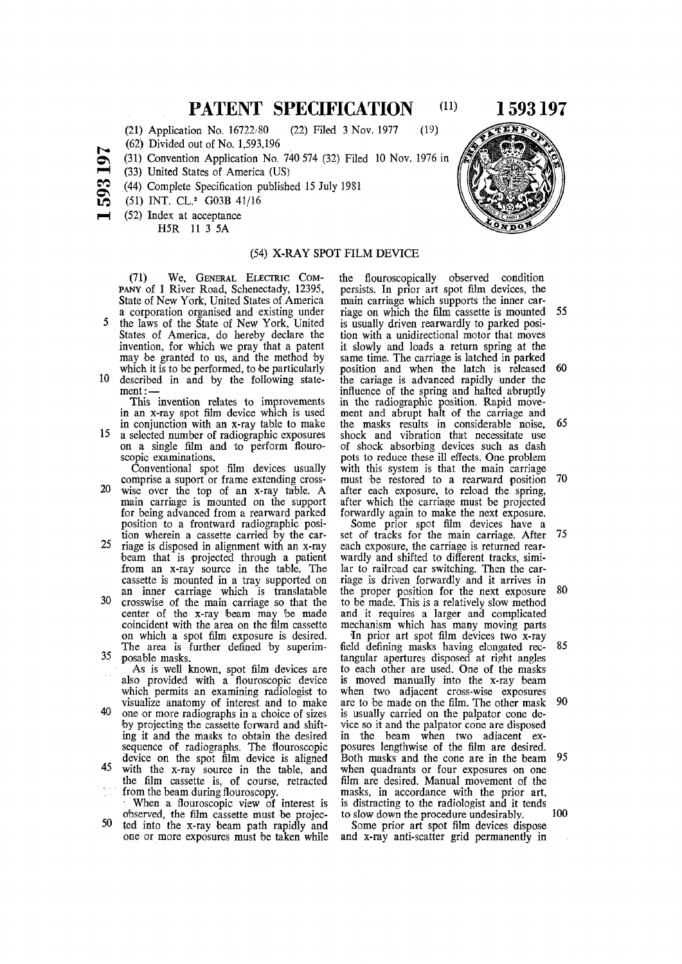## **PATENT SPECIFICATION** (11) 1 593 197

(21) Application No. 16722/80 (22) Filed 3 Nov. 1977 (19)

(62) Divided out of No. 1,593,196

- (31) Convention Application No. 740 574 (32) Filed 10 Nov. 1976 in
- o s  $\blacksquare$ (33) United States of America (US)
- <u>ಲು</u>  $\boldsymbol{\Xi}$ (44) Complete Specification published 15 July 1981
	- (51) INT. CL.<sup>3</sup> G03B 41/16
	- (52) Index at acceptance

H5R 11 3 5A

### (54) X-RAY SPOT FILM DEVICE

(71) We , GENERAL ELECTRIC COM-PANY of 1 River Road, Schenectady, 12395, State of New York, United States of America a corporation organised and existing under

- 5 the laws of the State of New York, United States of America, do hereby declare the invention, for which we pray that a patent may be granted to us, and the method by which it is to be performed, to be particularly 10 described in and by the following state-
- $ment:$

This invention relates to improvements in an x-ray spot film device which is used in conjunction with an x-ray table to make

15 a selected number of radiographic exposures on a single film and to perform flouroscopic examinations.

Conventional spot film devices usually comprise a suport or frame extending cross-

- 20 wise over the top of an x-ray table. A main carriage is mounted on the support for being advanced from a rearward parked position to a frontward radiographic position wherein a cassette carried by the car-
- 25 riage is disposed in alignment with an x-ray beam that is projected through a patient from an x-ray source in the table. The cassette is mounted in a tray supported on an inner carriage which is translatable
- 30 crosswise of the main carriage so that the center of the x-ray beam may be made coincident with the area on the film cassette on which a spot film exposure is desired. The area is further defined by superim-35 posable masks.
- As is well known, spot film devices are also provided with a flouroscopic device which permits an examining radiologist to
- visualize anatomy of interest and to make 40 one or more radiographs in a choice of sizes by projecting the cassette forward and shifting it and the masks to obtain the desired sequence of radiographs. The flouroscopic device on the spot film device is aligned
- 45 with the x-ray source in the table, and the film cassette is, of course, retracted from the beam during flouroscopy.

When a flouroscopic view of interest is observed, the film cassette must be projec-

50 ted into the x-ray beam path rapidly and one or more exposures must be taken while the flouroscopically observed condition persists. In prior art spot film devices, the main carriage which supports the inner carriage on which the film cassette is mounted 55 is usually driven rearwardly to parked position with a unidirectional motor that moves it slowly and loads a return spring at the same time. The carriage is latched in parked position and when the latch is released 60 the cariage is advanced rapidly under the influence of the spring and halted abruptly in the radiographic position. Rapid movement and abrupt halt of the carriage and the masks results in considerable noise,  $65$ shock and vibration that necessitate use of shock absorbing devices such as dash pots to reduce these ill effects. One problem with this system is that the main carriage must be restored to a rearward position 70 after each exposure, to reload the spring, after which the carriage must be projected forwardly again to make the next exposure.

Some prior spot film devices have a set of tracks for the main carriage. After 75 each exposure, the carriage is returned rearwardly and shifted to different tracks, similar to railroad car switching. Then the carriage is driven forwardly and it arrives in the proper position for the next exposure 80 to be made. This is a relatively slow method and it requires a larger and complicated mechanism which has many moving parts

In prior art spot film devices two x-ray field defining masks having elongated rec- 85 tangular apertures disposed at right angles to each other are used. One of the masks is moved manually into the x-ray beam when two adjacent cross-wise exposures are to be made on the film. The other mask 90 is usually carried on the palpator cone device so it and the palpator cone are disposed in the beam when two adjacent exposures lengthwise of the film are desired. Both masks and the cone are in the beam 95 when quadrants or four exposures on one film are desired. Manual movement of the masks, in accordance with the prior art is distracting to the radiologist and it tends to slow down the procedure undesirably. 100

Some prior art spot film devices dispose and x-ray anti-scatter grid permanently in

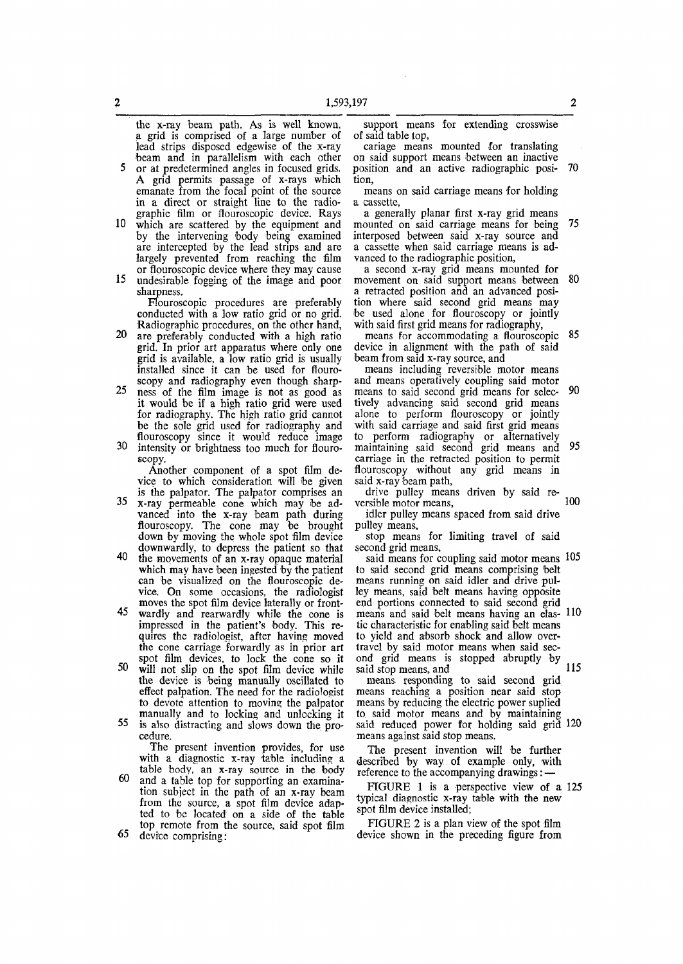the x-ray beam path. As is well known, a grid is comprised of a large number of lead strips disposed edgewise of the x-ray beam and in parallelism with each other

5 or at predetermined angles in focused grids. A grid permits passage of x-rays which emanate from the focal point of the source in a direct or straight line to the radiographic film or flouroscopic device. Rays

- 10 which are scattered by the equipment and by the intervening body being examined are intercepted by the lead strips and are largely prevented from reaching the film or flouroscopic device where they may cause
- 15 undesirable fogging of the image and poor sharpness.

Flouroscopic procedures are preferably conducted with a low ratio grid or no grid. Radiographic procedures, on the other hand,

- 20 are preferably conducted with a high ratio grid. In prior art apparatus where only one grid is available, a low ratio grid is usually installed since it can be used for flouroscopy and radiography even though sharp-
- 25 ness of the film image is not as good as it would be if a high ratio grid were used for radiography. The high ratio grid cannot be the sole grid used for radiography and flouroscopy since it would reduce image 30 intensity or brightness too much for flouro-
- scopy.

Another component of a spot film device to which consideration will be given is the palpator. The palpator comprises an

- 35 x-ray permeable cone which may be advanced into the x-ray beam path during flouroscopy. The cone may be brought down by moving the whole spot film device downwardly, to depress the patient so that
- 40 the movements of an x-ray opaque material which may have been ingested by the patient can be visualized on the flouroscopic device. On some occasions, the radiologist moves the spot film device laterally or front-
- 45 wardly and rearwardly while the cone is impressed in the patient's body. This requires the radiologist, after having moved the cone carriage forwardly as in prior art spot film devices, to lock the cone so it
- 50 will not slip on the spot film device while the device is being manually oscillated to effect palpation. The need for the radiologist to devote attention to moving the palpator manually and to locking and unlocking it
- 55 is also distracting and slows down the procedure.

The present invention provides, for use with a diagnostic x-ray table including a table body, an x-ray source in the body

- 60 and a table top for supporting an examination subject in the path of an x-ray beam from the source, a spot film device adapted to be located on a side of the table top remote from the source, said spot film
- 65 device comprising:

support means for extending crosswise of said table top,

cariage means mounted for translating on said support means between an inactive position and an active radiographic posi- 70 tion,

means on said carriage means for holding a cassette,

a generally planar first x-ray grid means mounted on said carriage means for being 75 interposed between said x-ray source and a cassette when said carriage means is advanced to the radiographic position,

a second x-ray grid means mounted for movement on said support means between 80 a retracted position and an advanced position where said second grid means may be used alone for flouroscopy or jointly with said first grid means for radiography,

means for accommodating a flouroscopic 85 device in alignment with the path of said beam from said x-ray source, and

means including reversible motor means and means operatively coupling said motor means to said second grid means for selec- 90 tively advancing said second grid means alone to perform flouroscopy or jointly with said carriage and said first grid means to perform radiography or alternatively maintaining said second grid means and 95 carriage in the retracted position to permit flouroscopy without any grid means in said x-ray beam path,

drive pulley means driven by said reversible motor means, 100

idler pulley means spaced from said drive pulley means,

stop means for limiting travel of said second grid means,

said means for coupling said motor means 105 to said second grid means comprising belt means running on said idler and drive pulley means, said belt means having opposite end portions connected to said second grid means and said belt means having an elas- 110 tic characteristic for enabling said belt means to yield and absorb shock and allow overtravel by said motor means when said second grid means is stopped abruptly by said stop means, and  $115$ 

means responding to said second grid means reaching a position near said stop means by reducing the electric power suplied to said motor means and by maintaining said reduced power for holding said grid 120 means against said stop means.

The present invention will be further described by way of example only, with reference to the accompanying drawings: —

FIGURE 1 is a perspective view of a 125 typical diagnostic x-ray table with the new spot film device installed;

FIGURE 2 is a plan view of the spot film device shown in the preceding figure from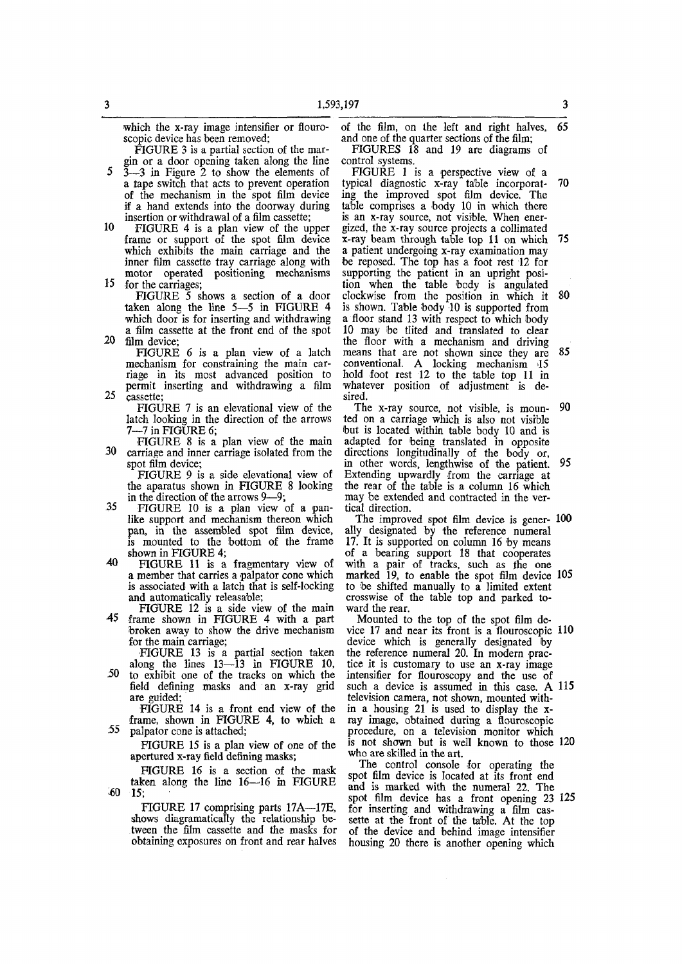which the x-ray image intensifier or flouroscopic device has been removed;

FIGURE 3 is a partial section of the margin or a door opening taken along the line

5 3—-3 in Figure 2 to show the elements of a tape switch that acts to prevent operation of the mechanism in the spot film device if a hand extends into the doorway during insertion or withdrawal of a film cassette;

10 FIGURE 4 is a plan view of the upper frame or support of the spot film device which exhibits the main carriage and the inner film cassette tray carriage along with motor operated positioning mechanisms 15 for the carriages;

FIGURE 5 shows a section of a door taken along the line 5—5 in FIGURE 4 which door is for inserting and withdrawing a film cassette at the front end of the spot 20 film device;

FIGURE 6 is a plan view of a latch mechanism for constraining the main carriage in its most advanced position to permit inserting and withdrawing a film 25 cassette;

FIGURE 7 is an elevational view of the latch looking in the direction of the arrows 7—7 in FIGURE 6;

FIGURE 8 is a plan view of the main 30 carriage and inner carriage isolated from the spot film device;

FIGURE 9 is a side elevational view of the aparatus shown in FIGURE 8 looking in the direction of the arrows 9—9;

- 35 FIGURE 10 is a plan view of a panlike support and mechanism thereon which pan, in the assembled spot film device, is mounted to the bottom of the frame shown in FIGURE 4;
- 40 FIGURE 11 is a fragmentary view of a member that carries a palpator cone which is associated with a latch that is self-locking and automatically releasable;

FIGURE 12 is a side view of the main 45 frame shown in FIGURE 4 with a part broken away to show the drive mechanism for the main carriage;

FIGURE 13 is a partial section taken

along the lines 13—13 in FIGURE 10, -50 to exhibit one of the tracks on which the field defining masks and an x-ray grid are guided;

FIGURE 14 is a front end view of the frame, shown in FIGURE 4, to which a 55 palpator cone is attached;

FIGURE 15 is a plan view of one of the apertured x-ray field defining masks;

FIGURE 16 is a section of the mask taken along the line 16—16 in FIGURE 15;

FIGURE 17 comprising parts 17A—17E, shows diagramatically the relationship between the film cassette and the masks for obtaining exposures on front and rear halves

of the film, on the left and right halves, 65 and one of the quarter sections of the film; FIGURES 18 and 19 are diagrams of

control systems. FIGURE 1 is a perspective view of a

typical diagnostic x-ray table incorporat- 70 ing the improved spot film device. The table comprises a body 10 in which there is an x-ray source, not visible. When energized, the x-ray source projects a collimated x-ray beam through table top 11 on which 75 a patient undergoing x-ray examination may be reposed. The top has a foot rest 12 for supporting the patient in an upright position when the table body is angulated clockwise from the position in which it 80 is shown. Table body 10 is supported from a floor stand 13 with respect to which body 10 may be tlited and translated to clear the floor with a mechanism and driving means that are not shown since they are 85 conventional. A locking mechanism 15 hold foot rest 12 to the table top 11 in whatever position of adjustment is desired.

The x-ray source, not visible, is moun- 90 ted on a carriage which is also not visible but is located within table body 10 and is adapted for being translated in opposite directions longitudinally of the body or, in other words, lengthwise of the patient. 95 Extending upwardly from the carriage at the rear of the table is a column 16 which may be extended and contracted in the vertical direction.

The improved spot film device is gener- 100 ally designated by the reference numeral 17. It is supported on column 16 by means of a bearing support 18 that cooperates with a pair of tracks, such as the one marked 19, to enable the spot film device 105 to be shifted manually to a limited extent crosswise of the table top and parked toward the rear.

Mounted to the top of the spot film device 17 and near its front is a flouroscopic 110 device which is generally designated by the reference numeral 20. In modern practice it is customary to use an x-ray image intensifier for flouroscopy and the use of such a device is assumed in this case. A 115 television camera, not shown, mounted within a housing 21 is used to display the xray image, obtained during a flouroscopic procedure, on a television monitor which is not shown but is well known to those 120 who are skilled in the art.

The control console for operating the spot film device is located at its front end and is marked with the numeral 22. The spot film device has a front opening 23 125 for inserting and withdrawing a film cassette at the front of the table. At the top of the device and behind image intensifier housing 20 there is another opening which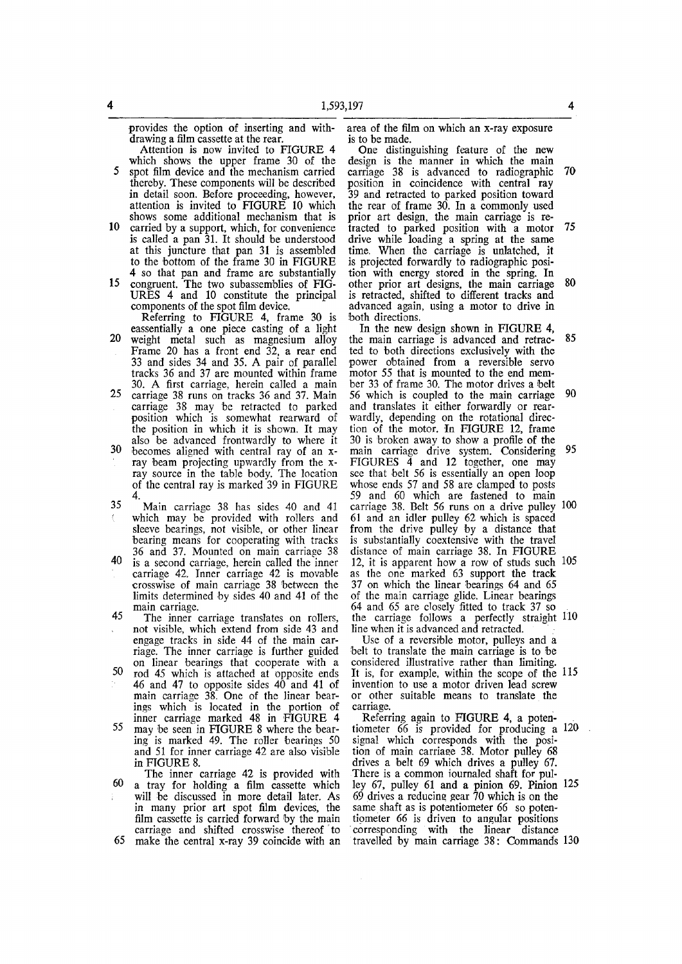provides the option of inserting and withdrawing a film cassette at the rear.

Attention is now invited to FIGURE 4 which shows the upper frame 30 of the 5 spot film device and the mechanism carried thereby. These components will be described in detail soon. Before proceeding, however, attention is invited to FIGURE 10 which shows some additional mechanism that is

- 10 carried by a support, which, for convenience is called a pan 31. It should be understood at this juncture that pan 31 is assembled to the bottom of the frame 30 in FIGURE 4 so that pan and frame are substantially
- 15 congruent. The two subassemblies of FIG-URES 4 and 10 constitute the principal components of the spot film device.

Referring to FIGURE 4, frame 30 is eassentially a one piece casting of a light

- 20 weight metal such as magnesium alloy Frame 20 has a front end 32, a rear end 33 and sides 34 and 35. A pair of parallel tracks 36 and 37 are mounted within frame 30. A first carriage, herein called a main
- 25 carriage 38 runs on tracks 36 and 37. Main carriage 38 may be retracted to parked position which is somewhat rearward of the position in which it is shown. It may also be advanced frontwardly to where it
- 30 becomes aligned with central ray of an xray beam projecting upwardly from the xray source in the table body. The location of the central ray is marked 39 in FIGURE 4.
- 35 Main carriage 38 has sides 40 and 41 which may be provided with rollers and sleeve bearings, not visible, or other linear bearing means for cooperating with tracks 36 and 37. Mounted on main carriage 38
- 40 is a second carriage, herein called the inner carriage 42. Inner carriage 42 is movable crosswise of main carriage 38 between the limits determined by sides 40 and 41 of the main carriage.
- 45 The inner carriage translates on rollers, not visible, which extend from side 43 and engage tracks in side 44 of the main carriage. The inner carriage is further guided on linear bearings that cooperate with a
- 50 rod 45 which is attached at opposite ends 46 and 47 to opposite sides 40 and 41 of main carriage 38<sup>.</sup> One of the linear bearings which is located in the portion of inner carriage marked 48 in FIGURE 4
- 55 may be seen in FIGURE 8 where the bearing is marked 49. The roller bearings 50 and 51 for inner carriage 42 are also visible in FIGURE 8.
- The inner carriage 42 is provided with 60 a tray for holding a film cassette which will be discussed in more detail later. As in many prior art spot film devices, the film cassette is carried forward by the main carriage and shifted crosswise thereof to 65 make the central x-ray 39 coincide with an

area of the film on which an x-ray exposure is to be made.

One distinguishing feature of the new design is the manner in which the main carriage 38 is advanced to radiographic 70 position in coincidence with central ray 39 and retracted to parked position toward the rear of frame 30. In a commonly used prior art design, the main carriage is retracted to parked position with a motor 75 drive while loading a spring at the same time. When the carriage is unlatched, it is projected forwardly to radiographic position with energy stored in the spring. In other prior art designs, the main carriage 80 is retracted, shifted to different tracks and advanced again, using a motor to drive in both directions.

In the new design shown in FIGURE 4, the main carriage is advanced and retrac- 85 ted to both directions exclusively with the power obtained from a reversible servo motor 55 that is mounted to the end member 33 of frame 30. The motor drives a belt 56 which is coupled to the main carriage 90 and translates it either forwardly or rearwardly, depending on the rotational direction of the motor. In FIGURE 12, frame 30 is broken away to show a profile of the main carriage drive system. Considering 95 FIGURES 4 and 12 together, one may see that belt 56 is essentially an open loop whose ends 57 and 58 are clamped to posts 59 and 60 which are fastened to main carriage 38. Belt 56 runs on a drive pulley 100 61 and an idler pulley 62 which is spaced from the drive pulley by a distance that is substantially coextensive with the travel distance of main carriage 38. In FIGURE 12, it is apparent how a row of studs such 105

as the one marked 63 support the track 37 on which the linear bearings 64 and 65 of the main carriage glide. Linear bearings 64 and 65 are closely fitted to track 37 so the carriage follows a perfectly straight 110 line when it is advanced and retracted.

Use of a reversible motor, pulleys and a belt to translate the main carriage is to be considered illustrative rather than limiting. It is, for example, within the scope of the 115 invention to use a motor driven lead screw or other suitable means to translate the carriage.

Referring again to FIGURE 4, a potentiometer 66 is provided for producing a 120 signal which corresponds with the position of main carriage 38. Motor pulley 68 drives a belt 69 which drives a pulley 67. There is a common iournaled shaft for pulley 67, pulley 61 and a pinion 69. Pinion 125 69 drives a reducing gear 70 which is on the same shaft as is potentiometer 66 so potentiometer 66 is driven to angular positions corresponding with the linear distance travelled by main carriage 38: Commands 130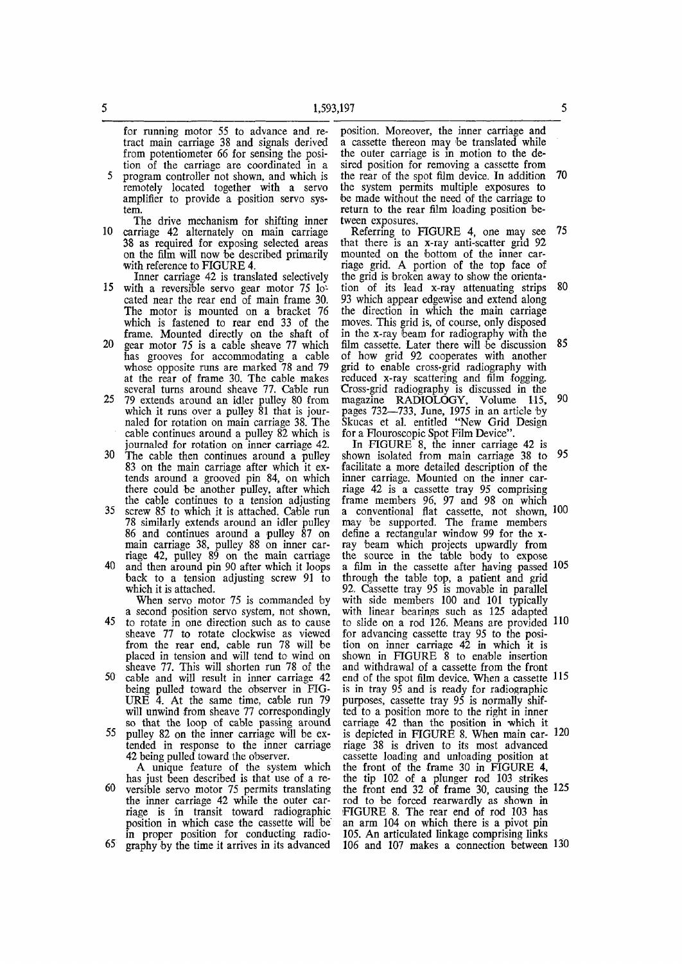for running motor 55 to advance and retract main carriage 38 and signals derived from potentiometer 66 for sensing the position of the carriage are coordinated in a 5 program controller not shown, and which is

- remotely located together with a servo amplifier to provide a position servo system.
- The drive mechanism for shifting inner 10 carriage 42 alternately on main carriage 38 as required for exposing selected areas on the film will now be described primarily with reference to FIGURE 4.
- Inner carriage 42 is translated selectively 15 with a reversible servo gear motor 75 located near the rear end of main frame 30. The motor is mounted on a bracket 76 which is fastened to rear end 33 of the frame. Mounted directly on the shaft of
- 20 gear motor 75 is a cable sheave 77 which has grooves for accommodating a cable whose opposite runs are marked 78 and 79 at the rear of frame 30. The cable makes several turns around sheave 77. Cable run
- 25 79 extends around an idler pulley 80 from which it runs over a pulley 81 that is journaled for rotation on main carriage 38. The cable continues around a pulley 82 which is journaled for rotation on inner carriage 42.
- 30 The cable then continues around a pulley 83 on the main carriage after which it extends around a grooved pin 84, on which there could be another pulley, after which the cable continues to a tension adjusting
- 35 screw 85 to which it is attached. Cable run 78 similarly extends around an idler pulley 86 and continues around a pulley 87 on main carriage 38, pulley 88 on inner carriage 42, pulley 89 on the main carriage 40 and then around pin 90 after which it loops
- back to a tension adjusting screw 91 to which it is attached.

When servo motor 75 is commanded by a second position servo system, not shown,

- 45 to rotate in one direction such as to cause sheave 77 to rotate clockwise as viewed from the rear end, cable run 78 will be placed in tension and will tend to wind on sheave 77. This will shorten run 78 of the 50 cable and will result in inner carriage 42
- being pulled toward the observer in FIG-URE  $\overline{4}$ . At the same time, cable run 79 will unwind from sheave 77 correspondingly so that the loop of cable passing around
- 55 pulley 82 on the inner carriage will be extended in response to the inner carriage 42 being pulled toward the observer.
- A unique feature of the system which has just been described is that use of a re-60 versible servo motor 75 permits translating the inner carriage 42 while the outer carriage is in transit toward radiographic position in which case the cassette will be in proper position for conducting radio-65 graphy by the time it arrives in its advanced

position. Moreover, the inner carriage and a cassette thereon may be translated while the outer carriage is in motion to the desired position for removing a cassette from the rear of the spot film device. In addition 70 the system permits multiple exposures to be made without the need of the carriage to return to the rear film loading position between exposures.

Referring to FIGURE 4, one may see 75 that there is an x-ray anti-scatter grid 92 mounted on the bottom of the inner carriage grid. A portion of the top face of the grid is broken away to show the orientation of its lead x-ray attenuating strips 80 93 which appear edgewise and extend along the direction in which the main carriage moves. This grid is, of course, only disposed in the x-ray beam for radiography with the film cassette. Later there will be discussion 85 of how grid 92 cooperates with another grid to enable cross-grid radiography with reduced x-ray scattering and film fogging. Cross-grid radiography is discussed in the  $m$ agazine RADIOI OGY Volume  $115$ , 90 pages 732—733, June, 1975 in an article by Skucas et al. entitled "New Grid Design for a Flouroscopic Spot Film Device".

In FIGURE 8, the inner carriage 42 is shown isolated from main carriage 38 to 95 facilitate a more detailed description of the inner carriage. Mounted on the inner carriage 42 is a cassette tray 95 comprising frame members 96, 97 and 98 on which a conventional flat cassette, not shown, 100 may be supported. The frame members define a rectangular window 99 for the xray beam which projects upwardly from the source in the table body to expose a film in the cassette after having passed 105 through the table top, a patient and grid 92. Cassette tray 95 is movable in parallel with side members 100 and 101 typically with linear bearings such as 125 adapted to slide on a rod 126. Means are provided HO for advancing cassette tray 95 to the position on inner carriage 42 in which it is shown in FIGURE 8 to enable insertion and withdrawal of a cassette from the front end of the spot film device. When a cassette  $115$ is in tray 95 and is ready for radiographic purposes, cassette tray 95 is normally shifted to a position more to the right in inner carriage 42 than the position in which it is depicted in FIGURE 8. When main car- 120 riage 38 is driven to its most advanced cassette loading and unloading position at the front of the frame 30 in FIGURE 4, the tip 102 of a plunger rod 103 strikes the front end 32 of frame 30, causing the 125 rod to be forced rearwardly as shown in 'FIGURE 8. The rear end of rod 103 has an arm 104 on which there is a pivot pin 105. An articulated linkage comprising links 106 and 107 makes a connection between 130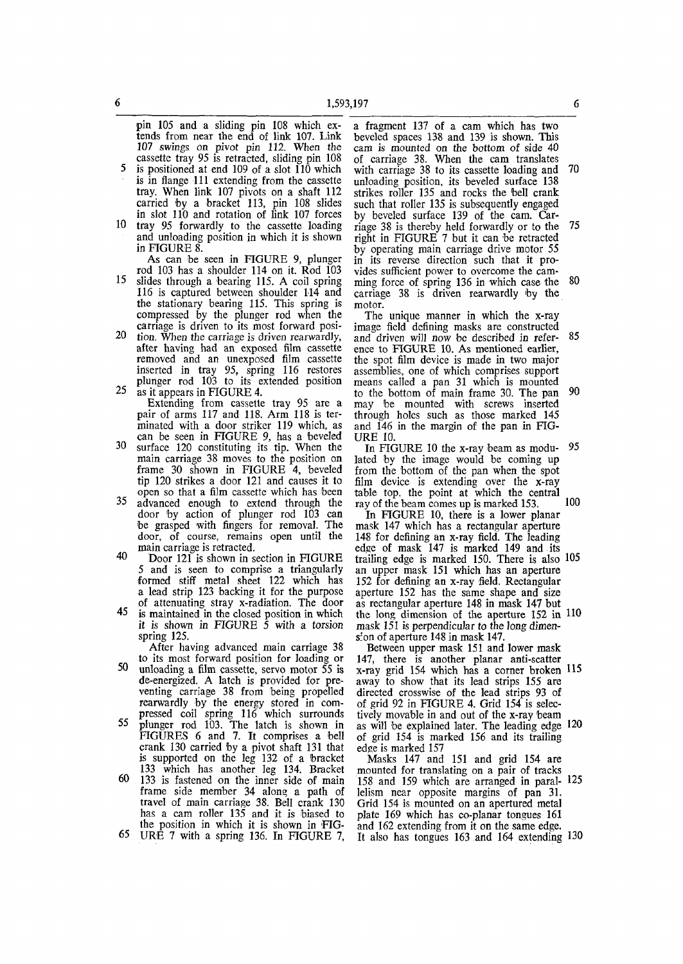pin 105 and a sliding pin 108 which extends from near the end of link 107. Link 107 swings on pivot pin 112. When the cassette tray 95 is retracted, sliding pin 108 5 is positioned at end 109 of a slot 110 which

- is in flange 111 extending from the cassette tray. When link 107 pivots on a shaft 112 carried by a bracket 113, pin 108 slides in slot 110 and rotation of link 107 forces 10 tray 95 forwardly to the cassette loading
- and unloading position in which it is shown in FIGURE 8.

As can be seen in FIGURE 9, plunger rod 103 has a shoulder 114 on it. Rod 103

- 15 slides through a bearing 115. A coil spring 116 is captured between shoulder 114 and the stationary bearing 115. This spring is compressed by the plunger rod when the carriage is driven to its most forward posi-
- 20 tion. When the carriage is driven rearwardly, after having had an exposed film cassette removed and an unexposed film cassette inserted in tray 95, spring 116 restores plunger rod 103 to its extended position 25 as it appears in FIGURE 4.
	- Extending from cassette tray 95 are a pair of arms 117 and 118. Arm 118 is terminated with a door striker 119 which, as can be seen in FIGURE 9, has a beveled
- 30 surface 120 constituting its tip. When the main carriage 38 moves to the position on frame 30 shown in FIGURE 4, beveled tip 120 strikes a door 121 and causes it to open so that a film cassette which has been
- 35 advanced enough to extend through the door by action of plunger rod 103 can be grasped with fingers for removal. The door, of course, remains open until the main carriage is retracted.
- 40 Door 121 is shown in section in FIGURE 5 and is seen to comprise a triangularly formed stiff metal sheet 122 which has a lead strip 123 backing it for the purpose of attenuating stray x-radiation. The door
- 45 is maintained in the closed position in which *it is* shown in FIGURE 5 with a torsion spring 125.

After having advanced main carriage 38

- to its most forward position for loading or 50 unloading a film cassette, servo motor 55 is de-energized. A latch is provided for preventing carriage 38 from being propelled rearwardly by the energy stored in compressed coil spring 116 which surrounds
- 55 plunger rod 103. The latch is shown in FIGURES 6 and 7. It comprises a bell crank 130 carried by a pivot shaft 131 that is supported on the leg 132 of a bracket 133 which has another leg 134. Bracket
- 60 133 is fastened on the inner side of main frame side member 34 along a path of travel of main carriage 38. Bell crank 130 has a cam roller 135 and it is biased to the position in which it is shown in F1G-
- 65 URE 7 with a spring 136. In FIGURE 7,

a fragment 137 of a cam which has two beveled spaces 138 and 139 is shown. This cam is mounted on the bottom of side 40 of carriage 38. When the cam translates with carriage 38 to its cassette loading and 70 unloading position, its beveled surface 138 strikes roller 135 and rocks the bell crank such that roller 135 is subsequently engaged by beveled surface 139 of the cam. Carriage 38 is thereby held forwardly or to the 75 right in FIGURE 7 but it can be retracted by operating main carriage drive motor 55 in its reverse direction such that it provides sufficient power to overcome the camming force of spring 136 in which case the 80 carriage 38 is driven rearwardly by the motor.

The unique manner in which the x-ray image field defining masks are constructed and driven will now be described in refer- 85 ence to FIGURE 10. As mentioned earlier, the spot film device is made in two major assemblies, one of which comprises support means called a pan 31 which is mounted to the bottom of main frame 30. The pan 90 may be mounted with screws inserted through holes such as those marked 145 and 146 in the margin of the pan in FIG-**URE 10.** 

In FIGURE 10 the x-ray beam as modu- 95 lated by the image would be coming up from the bottom of the pan when the spot film device is extending over the x-ray table top, the point at which the central ray of the beam comes up is marked 153. 100

In FIGURE 10, there is a lower planar mask 147 which has a rectangular aperture 148 for defining an x-ray field. The leading edge of mask 147 is marked 149 and its trailing edge is marked 150. There is also 105 an upper mask 151 which has an aperture 152 for defining an x-ray field. Rectangular aperture 152 has the same shape and size as rectangular aperture 148 in mask 147 but the long dimension of the aperture 152 in 110 mask 151 is perpendicular to the long dimension of aperture 148 in mask 147

Between upper mask 151 and lower mask 147, there is another planar anti-scatter x-ray grid 154 which has a corner broken 115 away to show that its lead strips 155 are directed crosswise of the lead strips 93 of of grid 92 in FIGURE 4. Grid 154 is selectively movable in and out of the x-ray beam as will be explained later. The leading edge 120 of grid 154 is marked 156 and its trailing edge is marked 157

Masks 147 and 151 and grid 154 are mounted for translating on a pair of tracks 158 and 159 which are arranged in paral- 125 lelism near opposite margins of pan 31. Grid 154 is mounted on an apertured metal plate 169 which has co-planar tongues 161 and 162 extending from it on the same edge. It also has tongues 163 and 164 extending 130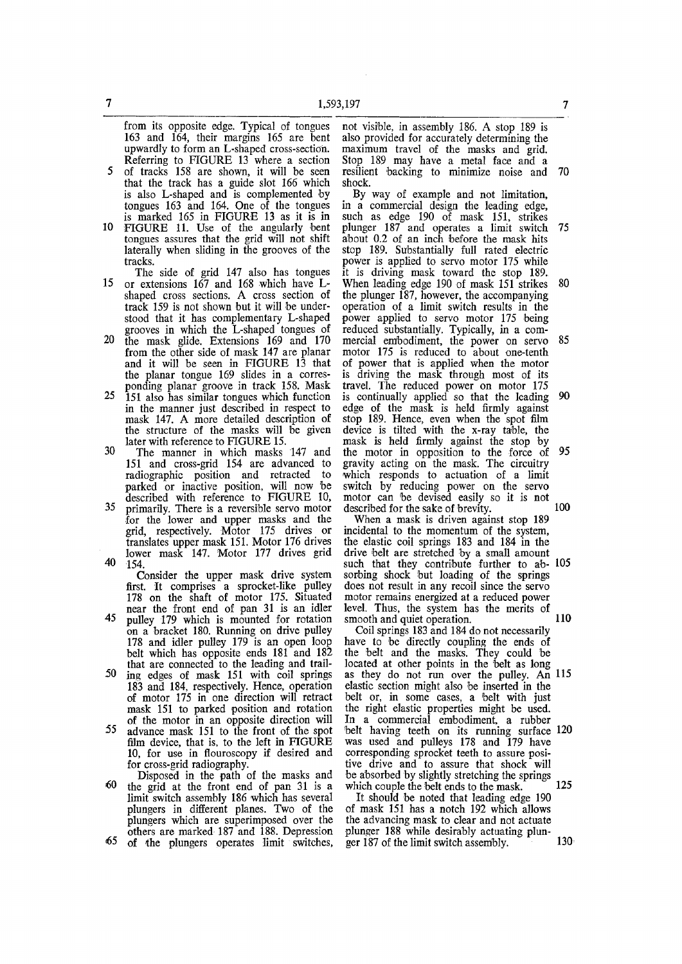from its opposite edge. Typical of tongues 163 and 164, their margins 165 are bent upwardly to form an L-shaped cross-section. Referring to FIGURE 13 where a section

- 5 of tracks 158 are shown, it will be seen that the track has a guide slot 166 which is also L-shaped and is complemented by tongues 163 and 164. One of the tongues is marked 165 in FIGURE 13 as it is in
- 10 FIGURE 11. Use of the angularly bent tongues assures that the grid will not shift laterally when sliding in the grooves of the tracks.
- The side of grid 147 also has tongues 15 or extensions 167 and 168 which have Lshaped cross sections. A cross section of track 159 is not shown but it will be understood that it has complementary L-shaped grooves in which the L-shaped tongues of
- 20 the mask glide. Extensions 169 and 170 from the other side of mask 147 are planar and it will be seen in FIGURE 13 that the planar tongue 169 slides in a corresponding planar groove in track 158. Mask
- 25 151 also has similar tongues which function in the manner just described in respect to mask 147. A more detailed description of the structure of the masks will be given later with reference to FIGURE 15.
- 30 The manner in which masks 147 and 151 and cross-grid 154 are advanced to radiographic position and retracted to parked or inactive position, will now be described with reference to FIGURE 10, 35 primarily. There is a reversible servo motor
- for the lower and upper masks and the grid, respectively. Motor 175 drives or translates upper mask 151. Motor 176 drives lower mask 147. Motor 177 drives grid 40 154.

Consider the upper mask drive system first. It comprises a sprocket-like pulley 178 on the shaft of motor 175. Situated near the front end of pan 31 is an idler 45 pulley 179 which is mounted for rotation on a bracket 180. Running on drive pulley 178 and idler pulley 179 is an open loop belt which has opposite ends 181 and 182 that are connected to the leading and trail-50 jng edges of mask 151 with coil springs

- 183 and 184, respectively. Hence, operation of motor 175 in one direction will retract mask 151 to parked position and rotation of the motor in an opposite direction will 55 advance mask 151 to the front of the spot
- film device, that is, to the left in FIGURE 10, for use in flouroscopy if desired and for cross-grid radiography.
- Disposed in the path of the masks and 60 the grid at the front end of pan 31 is a limit switch assembly 186 which has several plungers in different planes. Two of the plungers which are superimposed over the others are marked 187 and 188. Depression <65 of the plungers operates limit switches,

not visible, in assembly 186. A stop 189 is also provided for accurately determining the maximum travel of the masks and grid. Stop 189 may have a metal face and a resilient backing to minimize noise and 70 shock.

By way of example and not limitation, in a commercial design the leading edge, such as edge 190 of mask 151, strikes plunger 187 and operates a limit switch 75 about 0.2 of an inch before the mask hits stop 189. Substantially full rated electric power is applied to servo motor 175 while it is driving mask toward the stop 189. When leading edge 190 of mask 151 strikes 80 the plunger 187, however, the accompanying operation of a limit switch results in the power applied to servo motor 175 being reduced substantially. Typically, in a commercial embodiment, the power on servo 85 motor 175 is reduced to about one-tenth of power that is applied when the motor is driving the mask through most of its travel. The reduced power on motor 175 is continually applied so that the leading 90 edge of the mask is held firmly against stop 189. Hence, even when the spot film device is tilted with the x-ray table, the mask is held firmly against the stop by the motor in opposition to the force of 95 gravity acting on the mask. The circuitry which responds to actuation of a limit witch by reducing power on the servo switch by requesting power on the serve motor can be devised easily so it is not

When a mask is driven against stop 189 incidental to the momentum of the system, the elastic coil springs 183 and 184 in the drive belt are stretched by a small amount such that they contribute further to ab- 105 sorbing shock but loading of the springs does not result in any recoil since the servo motor remains energized at a reduced power level. Thus, the system has the merits of smooth and quiet operation. 110

Coil springs 183 and 184 do not necessarily have to be directly coupling the ends of the belt and the masks. They could be located at other points in the belt as long as they do not run over the pulley. An 115 elastic section might also be inserted in the belt or, in some cases, a belt with just the right elastic properties might be used. In a commercial embodiment, a rubber belt having teeth on its running surface 120 was used and pulleys 178 and 179 have corresponding sprocket teeth to assure positive drive and to assure that shock will be absorbed by slightly stretching the springs which couple the belt ends to the mask. <sup>6</sup> 125

It should be noted that leading edge 190 of mask 151 has a notch 192 which allows the advancing mask to clear and not actuate plunger 188 while desirably actuating plunger 187 of the limit switch assembly.  $130$ 

10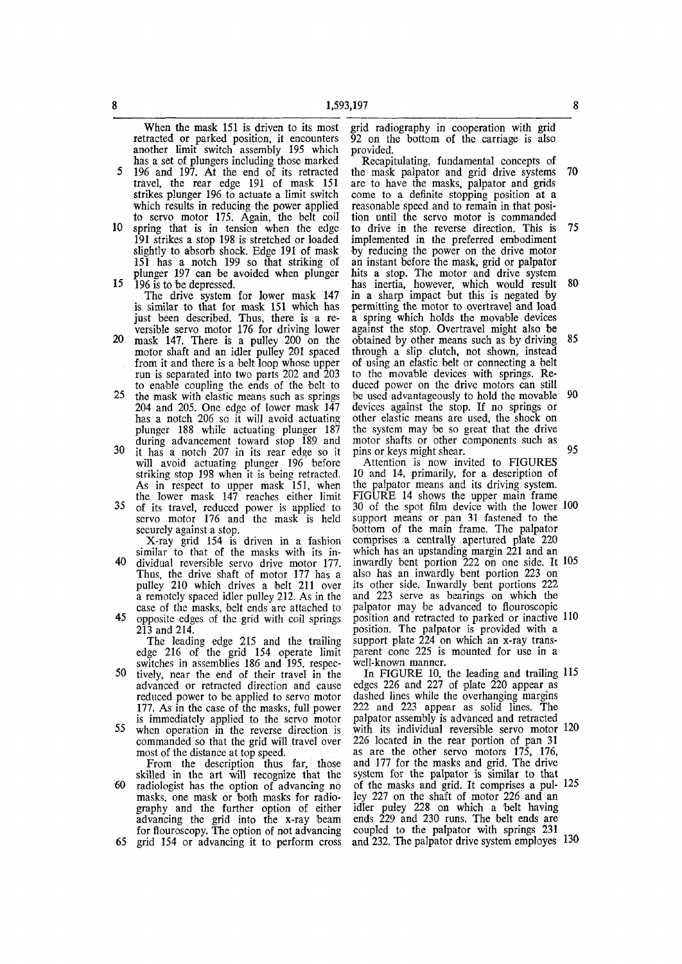When the mask 151 is driven to its most retracted or parked position, it encounters another limit switch assembly 195 which has a set of plungers including those marked

- 5 196 and 197. At the end of its retracted travel, the rear edge 191 of mask 151 strikes plunger 196 to actuate a limit switch which results in reducing the power applied to servo motor 175. Again, the belt coil
- 10 spring that is in tension when the edge 191 strikes a stop 198 is stretched or loaded slightly to absorb shock. Edge 191 of mask 151 has a notch 199 so that striking of plunger 197 can be avoided when plunger 15 196 is to be depressed.

The drive system for lower mask 147 is similar to that for mask 151 which has just been described. Thus, there is a reversible servo motor 176 for driving lower

- 20 mask 147. There is a pulley 200 on the motor shaft and an idler pulley 201 spaced from it and there is a belt loop whose upper run is separated into two parts 202 and 203 to enable coupling the ends of the belt to
- 25 the mask with elastic means such as springs 204 and 205. One edge of lower mask 147 has a notch 206 so it will avoid actuating plunger 188 while actuating plunger 187 during advancement toward stop 189 and
- 30 it has a notch 207 in its rear edge so it will avoid actuating plunger 196 before striking stop 198 when it is being retracted. As in respect to upper mask 151, when the lower mask 147 reaches either limit
- 35 of its travel, reduced power is applied to servo motor 176 and the mask is held securely against a stop.

X-ray grid 154 is driven in a fashion similar to that of the masks with its in-40 dividual reversible servo drive motor 177. Thus, the drive shaft of motor 177 has a pulley 210 which drives a belt 211 over a remotely spaced idler pulley 212. As in the case of the masks, belt ends are attached to

45 opposite edges of the grid with coil springs 213 and 214.

The leading edge 215 and the trailing edge 216 of the grid 154 operate limit switches in assemblies 186 and 195, respec-

- 50 tively, near the end of their travel in the advanced or retracted direction and cause reduced power to be applied to servo motor 177. As in the case of the masks, full power is immediately applied to the servo motor 55 when operation in the reverse direction is
- commanded so that the grid will travel over most of the distance at top speed.

From the description thus far, those skilled in the art will recognize that the 60 radiologist has the option of advancing no masks, one mask or both masks for radio-

graphy and the further option of either advancing the grid into the x-ray beam for flouroscopy. The option of not advancing 65 grid 154 or advancing it to perform cross

grid radiography in cooperation with grid 92 on the bottom of the carriage is also provided.

Recapitulating, fundamental concepts of the mask palpator and grid drive systems 70 are to have the masks, palpator and grids come to a definite stopping position at a reasonable speed and to remain in that position until the servo motor is commanded to drive in the reverse direction. This is 75 implemented in the preferred embodiment •by reducing the power on the drive motor an instant before the mask, grid or palpator hits a stop. The motor and drive system has inertia, however, which would result 80 in a sharp impact but this is negated by permitting the motor to overtravel and load a spring which holds the movable devices against the stop. Overtravel might also be obtained by other means such as by driving 85 through a slip clutch, not shown, instead of using an elastic belt or connecting a belt to the movable devices with springs. Reduced power on the drive motors can still be used advantageously to hold the movable 90 devices against the stop. If no springs or other elastic means are used, the shock on the system may be so great that the drive motor shafts or other components such as pins or keys might shear. 95

Attention is now invited to FIGURES 10 and 14, primarily, for a description of the palpator means and its driving system. FIGURE 14 shows the upper main frame 30 of the spot film device with the lower 100 support means or pan 31 fastened to the bottom of the main frame. The palpator comprises a centrally apertured plate 220 which has an upstanding margin 221 and an inwardly bent portion 222 on one side. It 105 also has an inwardly bent portion 223 on its other side. Inwardly bent portions 222 and 223 serve as bearings on which the palpator may be advanced to flouroscopic position and retracted to parked or inactive 110 position. The palpator is provided with a support plate 224 on which an x-ray transparent cone 225 is mounted for use in a well-known manner.

In FIGURE 10, the leading and trailing 115 edges 226 and 227 of plate 220 appear as dashed lines while the overhanging margins 222 and 223 appear as solid lines. The palpator assembly is advanced and retracted with its individual reversible servo motor 120 226 located in the rear portion of pan 31 as are the other servo motors 175, 176, and 177 for the masks and grid. The drive system for the palpator is similar to that of the masks and grid. It comprises a pul- 125 ley 227 on the shaft of motor 226 and an idler puley 228 on which a 'belt having ends 229 and 230 runs. The belt ends are coupled to the palpator with springs 231 and 232. The palpator drive system employes 130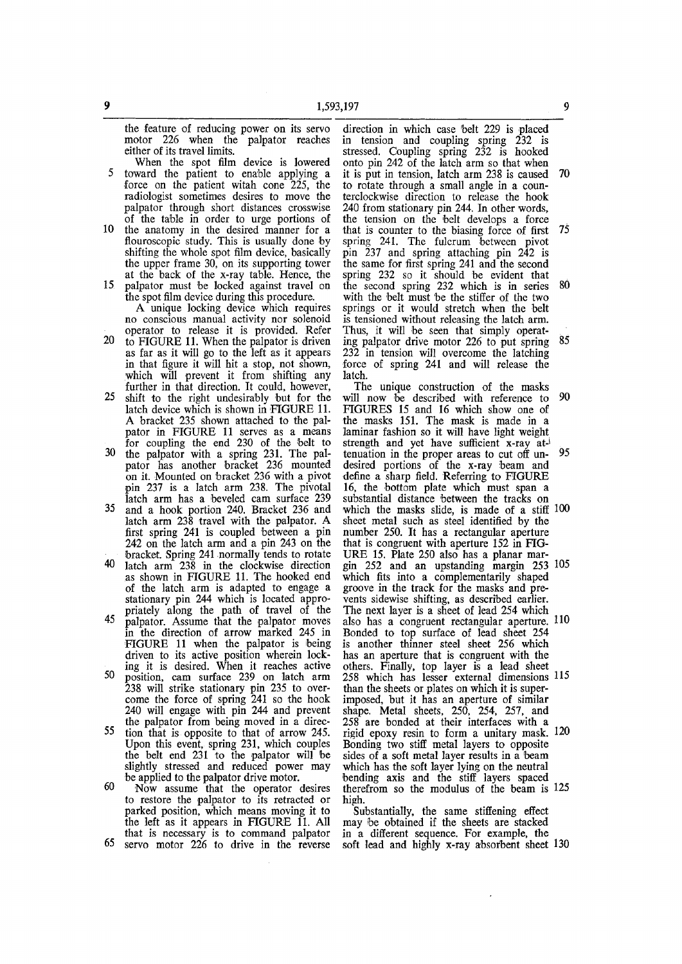the feature of reducing power on its servo motor 226 when the palpator reaches either of its travel limits.

- When the spot film device is lowered 5 toward the patient to enable applying a force on the patient witah cone 225, the radiologist sometimes desires to move the palpator through short distances crosswise of the table in order to urge portions of
- 10 the anatomy in the desired manner for a flouroscopic study. This is usually done by shifting the whole spot film device, basically the upper frame 30, on its supporting tower at the back of the x-ray table. Hence, the
- 15 palpator must be locked against travel on the spot film device during this procedure.
	- A unique locking device which requires no conscious manual activity nor solenoid operator to release it is provided. Refer
- 20 to FIGURE 11. When the palpator is driven as far as it will go to the left as it appears in that figure it will hit a stop, not shown, which will prevent it from shifting any further in that direction. It could, however,
- 25 shift to the right undesirably but for the latch device which is shown in FIGURE 11. A bracket 235 shown attached to the palpator in FIGURE 11 serves as a means for coupling the end 230 of the belt to
- 30 the palpator with a spring 231. The palpator has another bracket 236 mounted on it. Mounted on bracket 236 with a pivot pin 237 is a latch arm 238. The pivotal latch arm has a beveled cam surface 239 35 and a hook portion 240. Bracket 236 and
- latch arm 238 travel with the palpator. A first spring 241 is coupled between a pin 242 on the latch arm and a pin 243 on the bracket. Spring 241 normally tends to rotate
- 40 latch arm 238 in the clockwise direction as shown in FIGURE 11. The hooked end of the latch arm is adapted to engage a stationary pin 244 which is located appropriately along the path of travel of the 45 palpator. Assume that the palpator moves
- in the direction of arrow marked 245 in FIGURE 11 when the palpator is being driven to its active position wherein locking it is desired. When it reaches active 50 mostion, cam surface 220 on latch arm
- position, cam surface 255 on faten arm zoo will stiffer stationary pin 255 to over come the force of spring 2-11 so the hook 240 will engage with pin 244 and prevent the palpator from being moved in a direc-
- the parparent from being moved in a direc-Upon that is opposite to that of allow  $25.$  $\sigma$  belt end  $231$  to the paleston will be the belt end 231 to the palpator will be slightly stressed and reduced power may<br>be applied to the palpator drive motor.  $60$  N<sub>ow</sub>  $\alpha$  assume that the operator desires
- to restore that the operator desires to restore the palpator to its retracted or parked position, which means moving it to the left as it appears in FIGURE  $11.$  All that is necessary is to command palpator<br>65 servo motor 226 to drive in the reverse

direction in which case belt 229 is placed in tension and coupling spring 232 is stressed. Coupling spring 232 is hooked onto pin 242 of the latch arm so that when it is put in tension, latch arm 238 is caused 70 to rotate through a small angle in a counterclockwise direction to release the hook 240 from stationary pin 244. In other words, the tension on the belt develops a force that is counter to the biasing force of first 75 spring 241. The fulcrum between pivot pin 237 and spring attaching pin 242 is the same for first spring 241 and the second spring 232 so it should be evident that the second spring 232 which is in series 80 with the belt must be the stiffer of the two springs or it would stretch when the belt is tensioned without releasing the latch arm. Thus, it will be seen that simply operating palpator drive motor 226 to put spring  $85$ 232 in tension will overcome the latching force of spring 241 and will release the latch.

The unique construction of the masks will now be described with reference to 90 FIGURES 15 and 16 which show one of the masks 151. The mask is made in a laminar fashion so it will have light weight strength and yet have sufficient x-ray at-' tenuation in the proper areas to cut off un- 95 desired portions of the x-ray beam and define a sharp field. Referring to FIGURE 16, the bottom plate which must span a substantial distance between the tracks on which the masks slide, is made of a stiff 100 sheet metal such as steel identified by the number 250. It has a rectangular aperture that is congruent with aperture 152 in FIG-URE 15. Plate 250 also has a planar margin 252 and an upstanding margin 253 105 which fits into a complementarily shaped groove in the track for the masks and prevents sidewise shifting, as described earlier. The next layer is a sheet of lead 254 which also has a congruent rectangular aperture. 110 Bonded to top surface of lead sheet 254 is another thinner steel sheet 256 which has an aperture that is congruent with the others. Finally, top layer is a lead sheet 258 which has lesser external dimensions 115 than the sheets or plates on which it is superimposed, but it has an aperture of similar shape. Metal sheets, 250, 254, 257, and 258 are bonded at their interfaces with a rigid epoxy resin to form a unitary mask. 120 Bonding two stiff metal layers to opposite sides of a soft metal layer results in a beam which has the soft layer lying on the neutral bending axis and the stiff layers spaced therefrom so the modulus of the beam is 125 high.

Substantially, the same stiffening effect may be obtained if the sheets are stacked in a different sequence. For example, the soft lead and highly x-ray absorbent sheet 130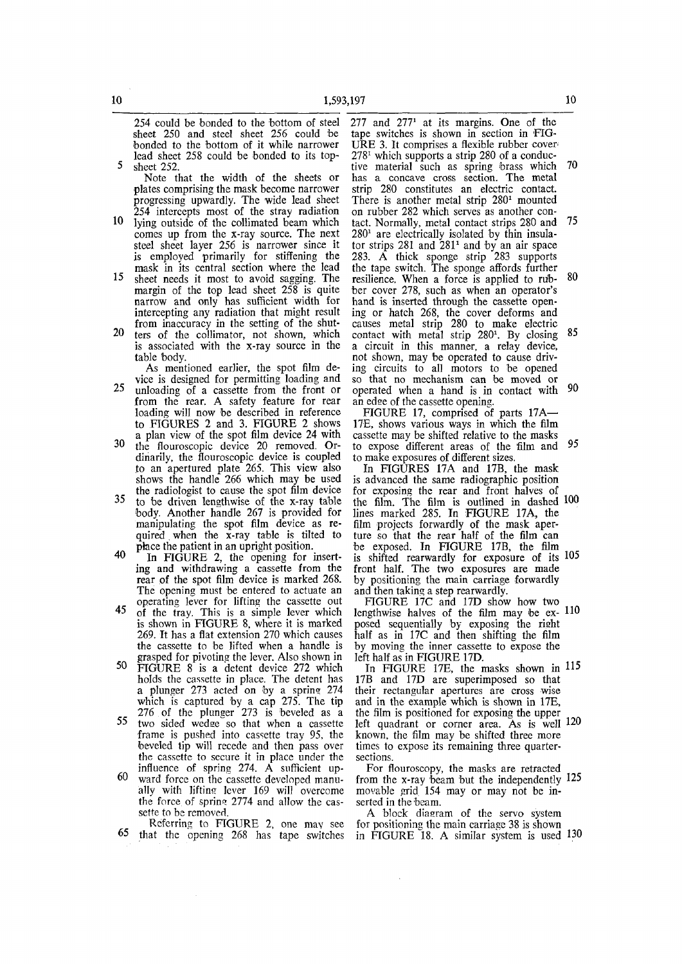254 could be bonded to the bottom of steel sheet 250 and steel sheet 256 could be bonded to the bottom of it while narrower lead sheet 258 could be bonded to its top-5 sheet 252.

Note that the width of the sheets or plates comprising the mask become narrower progressing upwardly. The wide lead sheet 254 intercepts most of the stray radiation

- 10 lying outside of the collimated beam which comes up from the x-ray source. The next steel sheet layer 256 is narrower since it is employed primarily for stiffening the mask in its central section where the lead
- 15 sheet needs it most to avoid sagging. The margin of the top lead sheet 258 is quite narrow and only has sufficient width for intercepting any radiation that might result from inaccuracy in the setting of the shut-
- 20 ters of the collimator, not shown, which is associated with the x-ray source in the table body.

As mentioned earlier, the spot film device is designed for permitting loading and 25 unloading of a cassette from the front or from the rear. A safety feature for rear loading will now be described in reference to FIGURES 2 and 3. FIGURE 2 shows

- a plan view of the spot film device 24 with 30 the flouroscopic device 20 removed. Ordinarily, the flouroscopic device is coupled to an apertured plate 265. This view also shows the handle 266 which may be used the radiologist to cause the spot film device
- <sup>35</sup> to be driven lengthwise of the x-ray table body. Another handle 267 is provided for manipulating the spot film device as required . when the x-ray table is tilted to place the patient in an upright position.
- $40$  In FIGURE 2, the opening for inserting and withdrawing a cassette from the rear of the spot film device is marked 268. The opening must be entered to actuate an operating lever for lifting the cassette out
- 45 of the tray. This is a simple lever which is shown in FIGURE 8, where it is marked 269. It has a flat extension 270 which causes the cassette to be lifted when a handle is grasped for pivoting the lever. Also shown in
- 50 FIGURE 8 is a detent device 272 which holds the cassette in place. The detent has a plunger 273 acted on by a spring 274 which is captured by a cap  $275$ . The tip 276 of the plunger 273 is beveled as a
- 55 two sided wedge so that when a cassette frame is pushed into cassette tray 95, the beveled tip will recede and then pass over the cassette to secure it in place under the influence of spring 274. A sufficient up-
- 60 ward force on the cassette developed manually with liftins lever 169 will overcome the force of spring 2774 and allow the cassette to be removed.

Referring to FIGURE 2, one may see 65 that the opening 268 has tape switches

277 and  $277<sup>1</sup>$  at its margins. One of the tape switches is shown in section in FIG-URE 3. It comprises a flexible rubber cover' 278<sup>1</sup> which supports a strip 280 of a conductive material such as spring brass which 70 has a concave cross section. The metal strip 280 constitutes an electric contact. There is another metal strip 280<sup>1</sup> mounted on rubber 282 which serves as another contact. Normally, metal contact strips 280 and 75  $280<sup>1</sup>$  are electrically isolated by thin insulator strips 281 and  $281<sup>1</sup>$  and by an air space 283. A thick sponge strip 283 supports the tape switch. The sponge affords further resilience. When a force is applied to rub- 80 ber cover 278, such as when an operator's hand is inserted through the cassette opening or hatch 268, the cover deforms and causes metal strip 280 to make electric  $\frac{1}{280}$  contact with metal strip  $280^1$ . By closing  $85$ a circuit in this manner, a relay device, not shown, may be operated to cause driving circuits to all motors to be opened so that no mechanism can be moved or operated when a hand is in contact with 90 an edge of the cassette opening.

FIGURE 17, comprised of parts 17A— 17E, shows various ways in which the film cassette may be shifted relative to the masks to expose different areas of the film and 95 to make exposures of different sizes.

In FIGURES 17A and 17B, the mask is advanced the same radiographic position for exposing the rear and front halves of the film. The film is outlined in dashed 100 lines marked 285. In FIGURE 17A, the film projects forwardly of the mask aperture so that the rear half of the film can be exposed. In FIGURE 17B, the film is shifted rearwardly for exposure of its 105 front half. The two exposures are made by positioning the main carriage forwardly and then taking a step rearwardly.

FIGURE 17C and 17D show how two lengthwise halves of the film may be  $ex-110$ posed sequentially by exposing the rieht half as in 17C and then shifting the film by moving the inner cassette to expose the left half as in FIGURE 17D.

In FIGURE 17E, the masks shown in 115 17B and 17D are superimposed so that their rectangular apertures are cross wise and in the example which is shown in 17E, the film is positioned for exposing the upper left quadrant or corner area. As is well 120 known, the film may be shifted three more times to expose its remaining three quartersections.

For flouroscopy, the masks are retracted from the x-ray 'beam but the independently 125 movable grid 154 may or may not be inserted in the beam.

A block diagram of the servo system for positioning the main carriage 38 is shown in FIGURE 18. A similar system is used 130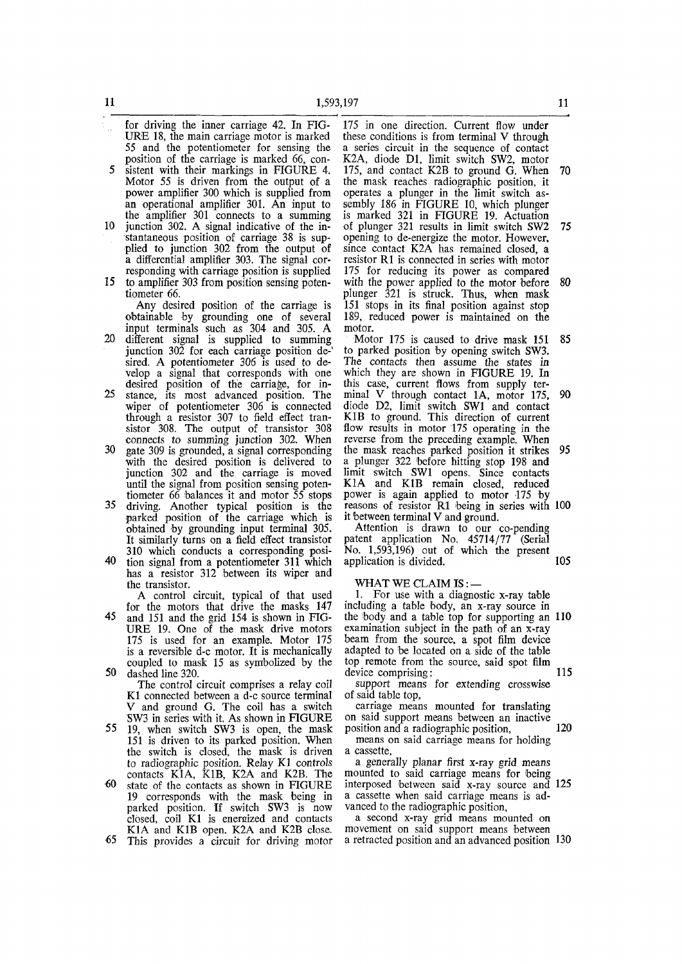- for driving the inner carriage 42. In FIG-URE 18, the main carriage motor is marked 55 and the potentiometer for sensing the position of the carriage is marked 66, con-5 sistent with their markings in FIGURE 4. Motor 55 is driven from the output of a
- power amplifier 300 which is supplied from an operational amplifier 301. An input to the amplifier 301 connects to a summing 10 junction 302. A signal indicative of the in-
- stantaneous position of carriage 38 is supplied to junction 302 from the output of a differential amplifier 303. The signal corresponding with carriage position is supplied
- 15 to amplifier 303 from position sensing potentiometer 66.

Any desired position of the carriage is obtainable by grounding one of several input terminals such as 304 and 305. A

- 20 different signal is supplied to summing junction 302 for each carriage position de-' sired. A potentiometer 306 is used to develop a signal that corresponds with one desired position of the carriage, for in-
- 25 stance, its most advanced position. The wiper of potentiometer 306 is connected through a resistor 307 to field effect transistor 308. The output of transistor 308 connects to summing junction 302. When
- 30 gate 309 is grounded, a signal corresponding with the desired position is delivered to junction 302 and the carriage is moved until the signal from position sensing potentiometer 66 balances it and motor 55 stops
- 35 driving. Another typical position is the parked position of the carriage which is obtained by grounding input terminal 305. It similarly turns on a field effect transistor 310 which conducts a corresponding posi-
- 40 tion signal from a potentiometer 311 which has a resistor 312 between its wiper and the transistor.

A control circuit, typical of that used for the motors that drive the masks 147

45 and 151 and the grid 154 is shown in FIG-URE 19. One of the mask drive motors 175 is used for an example. Motor 175 is a reversible d-c motor. It is mechanically coupled to mask 15 as symbolized by the 50 dashed line 320.

The control circuit comprises a relay coil K1 connected between a d-c source terminal V and ground G. The coil has a switch SW3 in series with it. As shown in FIGURE

- 55 19, when switch SW3 is open, the mask 151 is driven to its parked position. When the switch is closed, the mask is driven to radiographic position. Relay K1 controls contacts K1A, K1B, K2A and K2B. The
- €0 state of the contacts as shown in FIGURE 19 corresponds with the mask being in parked position. If switch SW3 is now closed, coil K1 is energized and contacts K1A and K1B open. K2A and K2B close.

•65 This provides a circuit for driving motor

175 in one direction. Current flow under these conditions is from terminal V through a series circuit in the sequence of contact K2A, diode Dl, limit switch SW2, motor 175, and contact K2B to ground G. When 70 the mask reaches radiographic position, it operates a plunger in the limit switch assembly 186 in FIGURE 10, which plunger is marked 321 in FIGURE 19. Actuation of plunger 321 results in limit switch SW2 75 opening to de-energize the motor. However, since contact K2A has remained closed, a resistor R1 is connected in series with motor 175 for reducing its power as compared with the power applied to the motor before 80 plunger 321 is struck. Thus, when mask 151 stops in its final position against stop 189, reduced power is maintained on the motor.

Motor 175 is caused to drive mask 151 85 to parked position by opening switch SW3. The contacts then assume the states in which they are shown in FIGURE 19. In this case, current flows from supply terminal V through contact 1A, motor 175, 90 diode D2, limit switch SW1 and contact K1B to ground. This direction of current flow results in motor 175 operating in the reverse from the preceding example. When the mask reaches parked position it strikes 95 a plunger 322 before hitting stop 198 and limit switch SW1 opens. Since contacts K1A and K1B remain closed, reduced power is again applied to motor 175 by reasons of resistor R1 being in series with 100 it between terminal V and ground.

Attention is drawn to our co-pending patent application No. 45714/77 (Serial No. 1,593,196) out of which the present application is divided. 105

WHAT WE CLAIM IS:-

1. For use with a diagnostic  $x$ -ray table including a table body, an x-ray source in the body and a table top for supporting an 110 examination subject in the path of an x-ray beam from the source, a spot film device adapted to be located on a side of the table top remote from the source, said spot film device comprising: 115

support means for extending crosswise of said table top,

carriage means mounted for translating on said support means between an inactive position and a radiographic position, 120

means on said carriage means for holding a cassette,

a generally planar first x-ray grid means mounted to said carriage means for being interposed between said x-ray source and 125 a cassette when said carriage means is advanced to the radiographic position,

a second x-ray grid means mounted on movement on said support means between a retracted position and an advanced position 130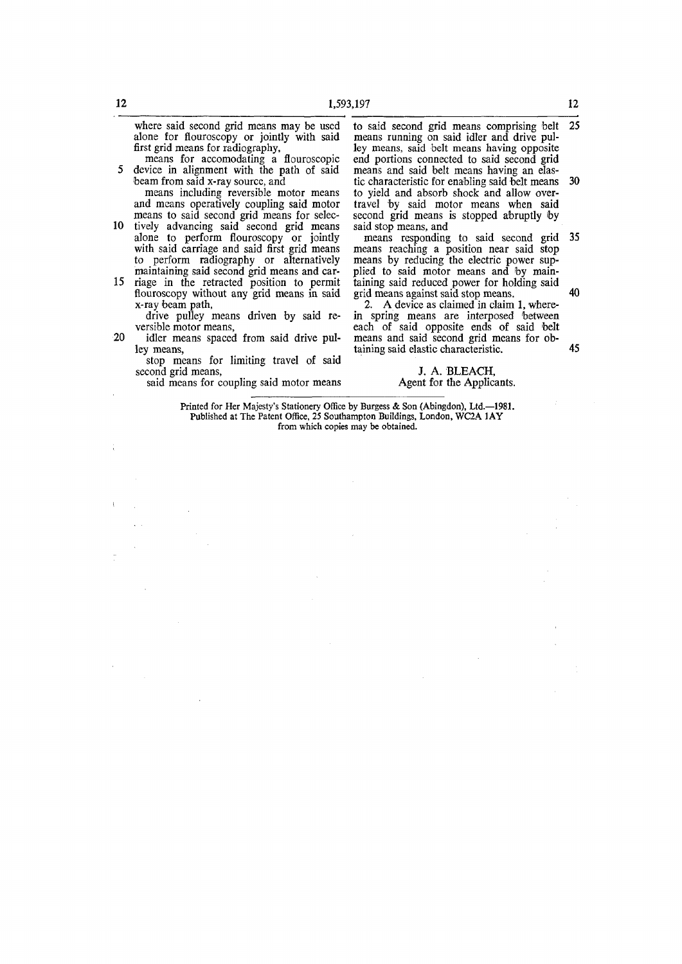where said second grid means may be used alone for flouroscopy or jointly with said first grid means for radiography,

means for accomodating a flouroscopic 5 device in alignment with the path of said beam from said x-ray source, and

means including reversible motor means and means operatively coupling said motor means to said second grid means for selec-

- 10 tively advancing said second grid means alone to perform flouroscopy or jointly with said carriage and said first grid means to perform radiography or alternatively maintaining said second grid means and car-
- 15 riage in the retracted position to permit flouroscopy without any grid means in said x-ray beam path,
	- drive pulley means driven by said reversible motor means,
- 20 idler means spaced from said drive pulley means,
	- stop means for limiting travel of said second grid means,

said means for coupling said motor means

to said second grid means comprising belt 25 means running on said idler and drive pulley means, said belt means having opposite end portions connected to said second grid means and said belt means having an elastic characteristic for enabling said belt means 30 to yield and absorb shock and allow overtravel by said motor means when said second grid means is stopped abruptly by said stop means, and

means responding to said second grid 35 means reaching a position near said stop means by reducing the electric power supplied to said motor means and by maintaining said reduced power for holding said grid means against said stop means. 40

2. A device as claimed in claim 1, wherein spring means are interposed 'between each of said opposite ends of said belt means and said second grid means for obtaining said elastic characteristic. 45

> J. A. BLEACH, Agent for the Applicants.

Printed for Her Majesty's Stationery Office by Burgess & Son (Abingdon), Ltd.-1981. Published at The Patent Office, 25 Southampton Buildings, London, WC2A 1AY from which copies may be obtained.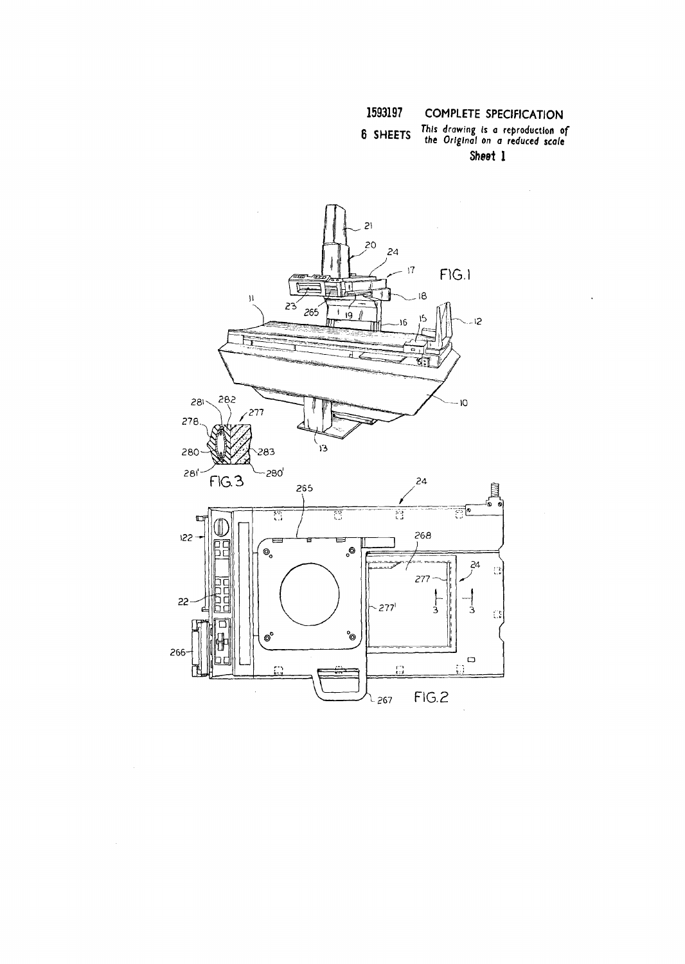## 6 SHEETS

This drawing is a reproduction of<br>the Original on a reduced scale Sheet 1

 $\mathcal{A}^{\mathcal{A}}$ 

 $\overline{a}$ 

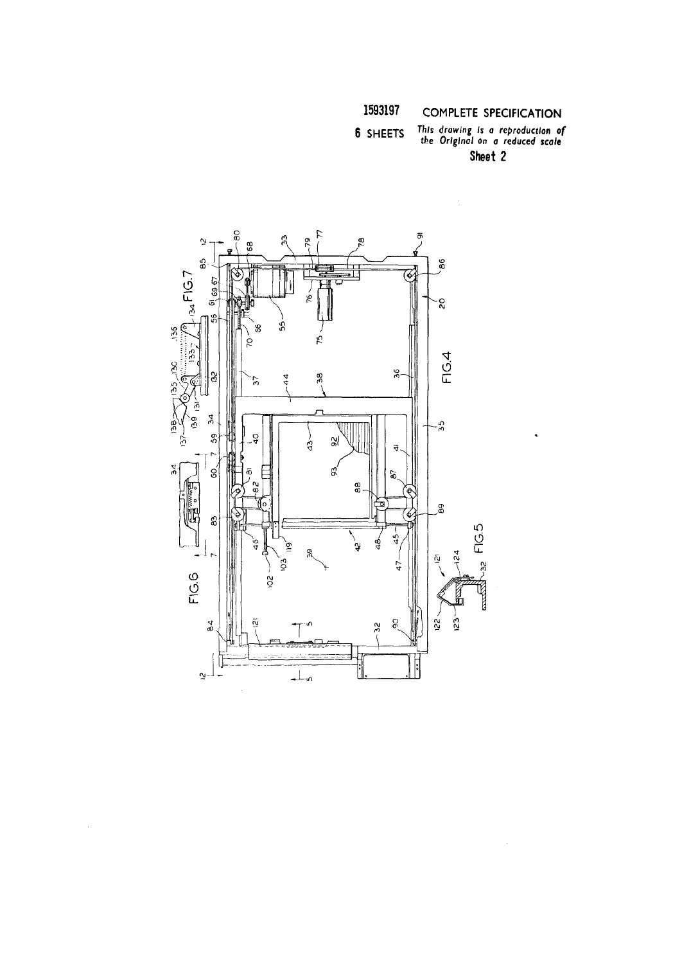### This drawing is a reproduction of<br>the Original on a reduced scale 6 SHEETS Sheet 2

 $\ddot{\phantom{a}}$ 

 $\ddot{\mathbf{e}}$ 77  $\bar{a}$  $\overline{3}$ čć  $\tilde{\sigma}$ ğΟ 68  $\overline{a}$ 86  $-134$  FIG.7 76  $61,69.67$ ف g \$Ş 6  $136$ 19 FIG.4 **O** 36 స్ల 38  $\frac{4}{4}$ 57 i35 ے  $\leq 951$ 54 o<br>O άć \$  $\frac{1}{2}$  $\frac{1}{3}$ ζŗ,  $\mathfrak{A}$  $\vec{r}$ ЪĆ. ്റ് g 8 e, සි FIG.5 Ŋ  $\frac{6}{9}$ đ ু∕ .<br>Y ğ, ù. 54  $\bar{\mathsf{Q}}$ ιō3.  $32$ 47 FIG.6  $\tilde{c}$ **TO**<br>H  $\frac{1}{2}$  $\alpha$  $\mathcal{S}$  $\tilde{c}$ Ñ  $\frac{2}{3}$ IJ  $\perp$ – اپو

 $\mathcal{A}^{\text{out}}$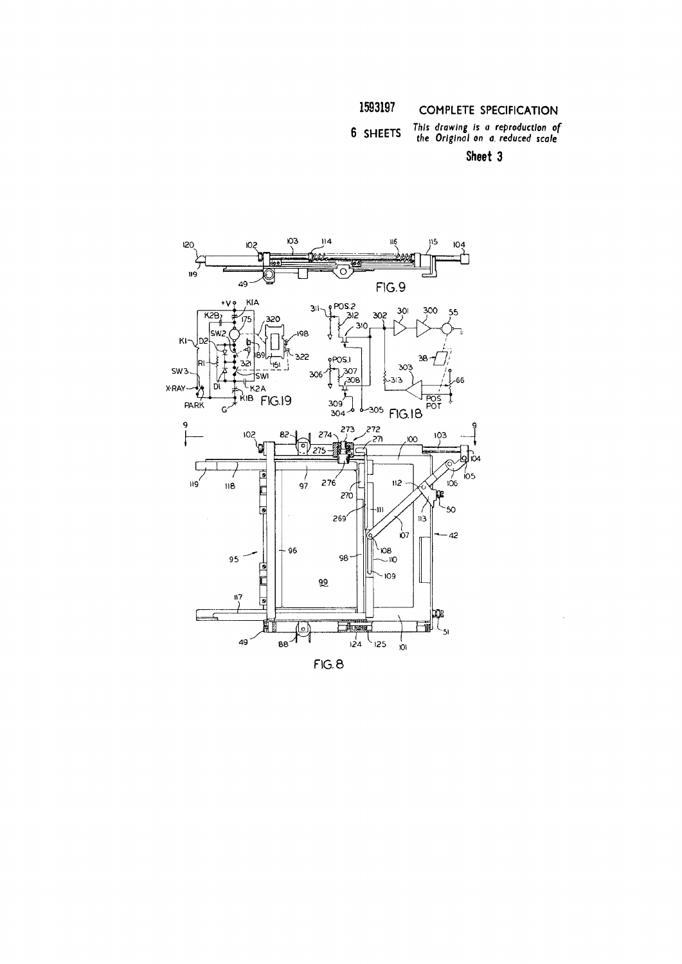*g is a rep al on a. re*  6 SHEETS *This drawing is a reproduction of*<br>the Original on a reduced scale

Sheet 3

 $\bar{\gamma}$ 



**FIG. 8**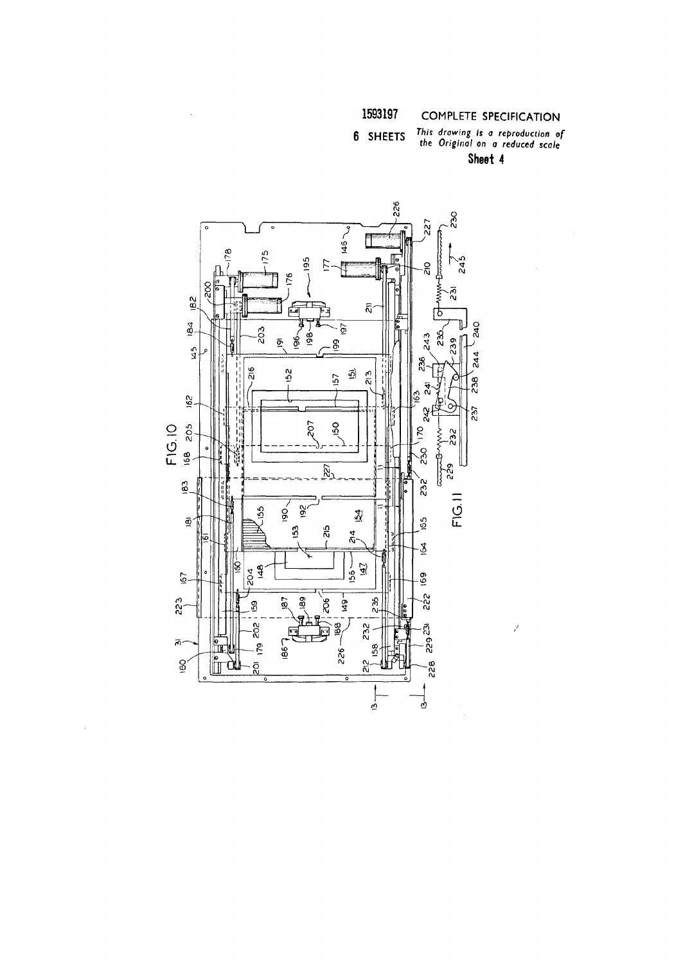### This drawing is a reproduction of<br>the Original on a reduced scale 6 SHEETS Sheet 4

 $\tilde{\vec{z}}$ 



 $\bar{\mathcal{A}}$ 

 $\bar{\tau}$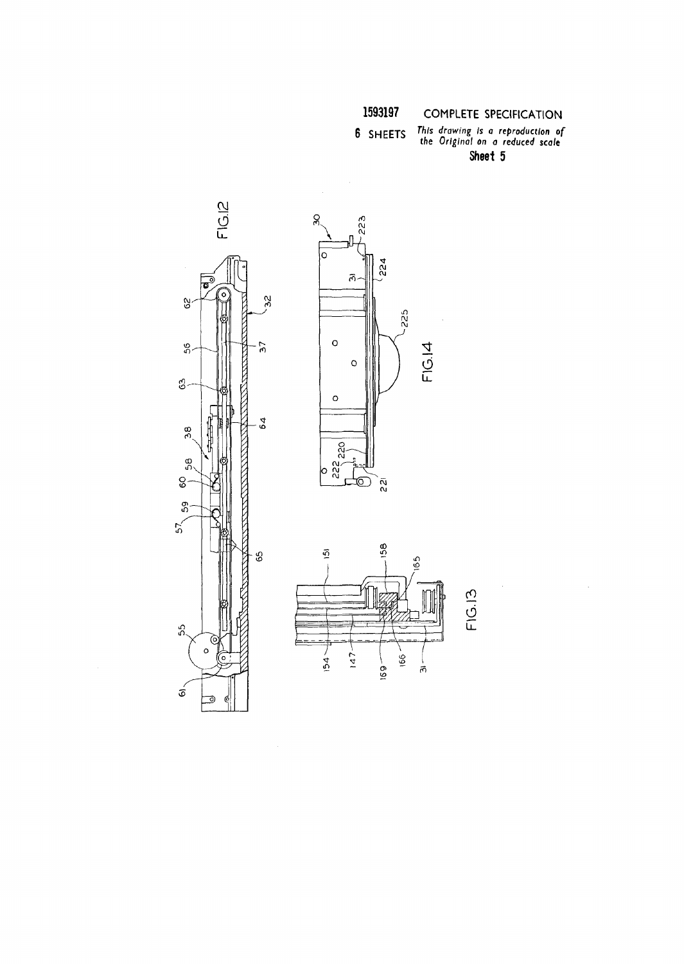This drawing is a reproduction of<br>the Original on a reduced scale 6 SHEETS Sheet 5







FIG.13

 $\hat{\boldsymbol{\beta}}$